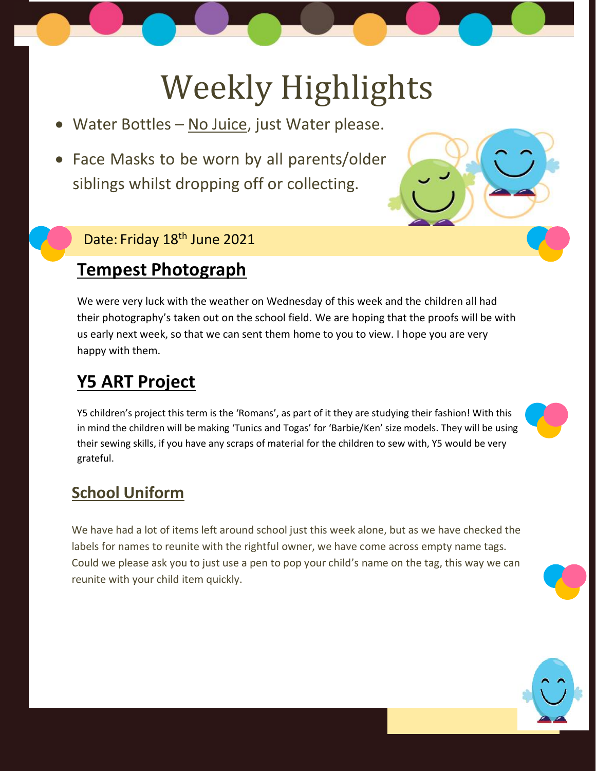# Weekly Highlights

- Water Bottles No Juice, just Water please.
- Face Masks to be worn by all parents/older siblings whilst dropping off or collecting.

#### Date: Friday 18<sup>th</sup> June 2021

# **Tempest Photograph**

We were very luck with the weather on Wednesday of this week and the children all had their photography's taken out on the school field. We are hoping that the proofs will be with us early next week, so that we can sent them home to you to view. I hope you are very happy with them.

# **Y5 ART Project**

Y5 children's project this term is the 'Romans', as part of it they are studying their fashion! With this in mind the children will be making 'Tunics and Togas' for 'Barbie/Ken' size models. They will be using their sewing skills, if you have any scraps of material for the children to sew with, Y5 would be very grateful.

### **School Uniform**

We have had a lot of items left around school just this week alone, but as we have checked the labels for names to reunite with the rightful owner, we have come across empty name tags. Could we please ask you to just use a pen to pop your child's name on the tag, this way we can reunite with your child item quickly.